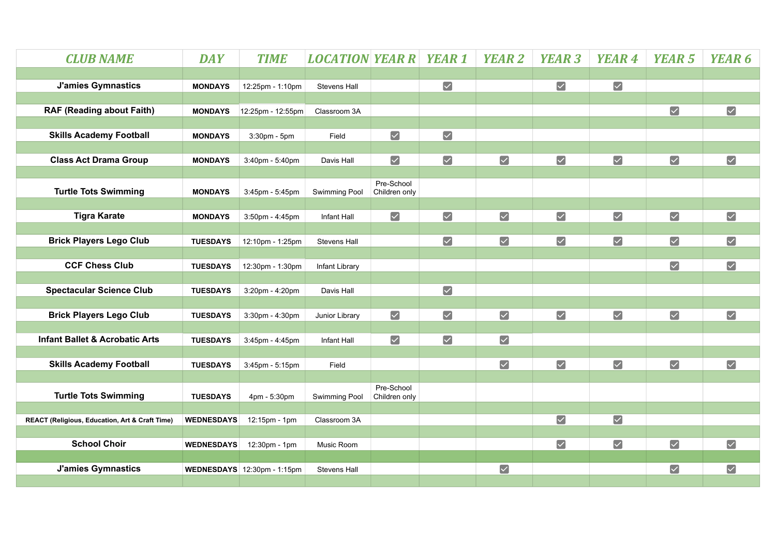| <b>CLUB NAME</b>                                          | <b>DAY</b>        | <b>TIME</b>                        | <b>LOCATION YEAR R YEAR 1</b> |                             |                       | <b>YEAR 2</b>         | <b>YEAR 3</b>        | <b>YEAR 4</b>           | <b>YEAR 5</b>        | YEAR 6                |
|-----------------------------------------------------------|-------------------|------------------------------------|-------------------------------|-----------------------------|-----------------------|-----------------------|----------------------|-------------------------|----------------------|-----------------------|
|                                                           |                   |                                    |                               |                             |                       |                       |                      |                         |                      |                       |
| <b>J'amies Gymnastics</b>                                 | <b>MONDAYS</b>    | 12:25pm - 1:10pm                   | <b>Stevens Hall</b>           |                             | $\blacktriangledown$  |                       | $\blacktriangledown$ | $\blacktriangleright$   |                      |                       |
|                                                           |                   |                                    |                               |                             |                       |                       |                      |                         |                      |                       |
| <b>RAF (Reading about Faith)</b>                          | <b>MONDAYS</b>    | 12:25pm - 12:55pm                  | Classroom 3A                  |                             |                       |                       |                      |                         | $\blacktriangledown$ | $\blacktriangledown$  |
| <b>Skills Academy Football</b>                            | <b>MONDAYS</b>    | 3:30pm - 5pm                       | Field                         | $\blacktriangledown$        | $\blacktriangledown$  |                       |                      |                         |                      |                       |
|                                                           |                   |                                    |                               |                             |                       |                       |                      |                         |                      |                       |
| <b>Class Act Drama Group</b>                              | <b>MONDAYS</b>    | 3:40pm - 5:40pm                    | Davis Hall                    | $\blacktriangledown$        | $\blacktriangledown$  | $\blacktriangledown$  | $\blacktriangledown$ | $\blacktriangledown$    | $\blacktriangledown$ | $\blacktriangledown$  |
|                                                           |                   |                                    |                               |                             |                       |                       |                      |                         |                      |                       |
| <b>Turtle Tots Swimming</b>                               | <b>MONDAYS</b>    | 3:45pm - 5:45pm                    | Swimming Pool                 | Pre-School<br>Children only |                       |                       |                      |                         |                      |                       |
|                                                           |                   |                                    |                               |                             |                       |                       |                      |                         |                      |                       |
| <b>Tigra Karate</b>                                       | <b>MONDAYS</b>    | 3:50pm - 4:45pm                    | Infant Hall                   | $\blacktriangledown$        | $\blacktriangledown$  | $\blacktriangledown$  | $\blacktriangledown$ | $\blacktriangledown$    | $\blacktriangledown$ | $\blacktriangledown$  |
|                                                           |                   |                                    |                               |                             |                       |                       |                      |                         |                      |                       |
| <b>Brick Players Lego Club</b>                            | <b>TUESDAYS</b>   | 12:10pm - 1:25pm                   | Stevens Hall                  |                             | $\blacktriangledown$  | $\blacktriangledown$  | $\blacktriangledown$ | $\blacktriangledown$    | $\blacktriangledown$ | $\blacktriangledown$  |
|                                                           |                   |                                    |                               |                             |                       |                       |                      |                         |                      |                       |
| <b>CCF Chess Club</b>                                     | <b>TUESDAYS</b>   | 12:30pm - 1:30pm                   | Infant Library                |                             |                       |                       |                      |                         | $\blacktriangledown$ | $\blacktriangledown$  |
| <b>Spectacular Science Club</b>                           | <b>TUESDAYS</b>   | 3:20pm - 4:20pm                    | Davis Hall                    |                             | $\blacktriangledown$  |                       |                      |                         |                      |                       |
|                                                           |                   |                                    |                               |                             |                       |                       |                      |                         |                      |                       |
| <b>Brick Players Lego Club</b>                            | <b>TUESDAYS</b>   | 3:30pm - 4:30pm                    | Junior Library                | $\blacktriangleright$       | $\boxed{\checkmark}$  | $\blacktriangleright$ | $\blacktriangledown$ | $\blacktriangledown$    | $\boxed{\checkmark}$ | $\blacktriangleright$ |
|                                                           |                   |                                    |                               |                             |                       |                       |                      |                         |                      |                       |
| <b>Infant Ballet &amp; Acrobatic Arts</b>                 | <b>TUESDAYS</b>   | 3:45pm - 4:45pm                    | Infant Hall                   | $\blacktriangledown$        | $\blacktriangleright$ | $\blacktriangledown$  |                      |                         |                      |                       |
|                                                           |                   |                                    |                               |                             |                       |                       |                      |                         |                      |                       |
| <b>Skills Academy Football</b>                            | <b>TUESDAYS</b>   | 3:45pm - 5:15pm                    | Field                         |                             |                       | $\blacktriangleright$ | $\blacktriangledown$ | $\blacktriangledown$    | $\blacktriangledown$ | $\blacktriangledown$  |
|                                                           |                   |                                    |                               | Pre-School                  |                       |                       |                      |                         |                      |                       |
| <b>Turtle Tots Swimming</b>                               | <b>TUESDAYS</b>   | 4pm - 5:30pm                       | Swimming Pool                 | Children only               |                       |                       |                      |                         |                      |                       |
|                                                           |                   |                                    |                               |                             |                       |                       |                      |                         |                      |                       |
| <b>REACT (Religious, Education, Art &amp; Craft Time)</b> | <b>WEDNESDAYS</b> | 12:15pm - 1pm                      | Classroom 3A                  |                             |                       |                       | $\boxed{\checkmark}$ | $\overline{\mathbf{v}}$ |                      |                       |
| <b>School Choir</b>                                       | <b>WEDNESDAYS</b> | 12:30pm - 1pm                      | Music Room                    |                             |                       |                       | $\blacktriangledown$ | $\blacktriangledown$    | $\blacktriangledown$ | $\blacktriangledown$  |
|                                                           |                   |                                    |                               |                             |                       |                       |                      |                         |                      |                       |
| <b>J'amies Gymnastics</b>                                 |                   | <b>WEDNESDAYS</b> 12:30pm - 1:15pm | <b>Stevens Hall</b>           |                             |                       | $\blacktriangledown$  |                      |                         | $\blacktriangledown$ | $\blacktriangledown$  |
|                                                           |                   |                                    |                               |                             |                       |                       |                      |                         |                      |                       |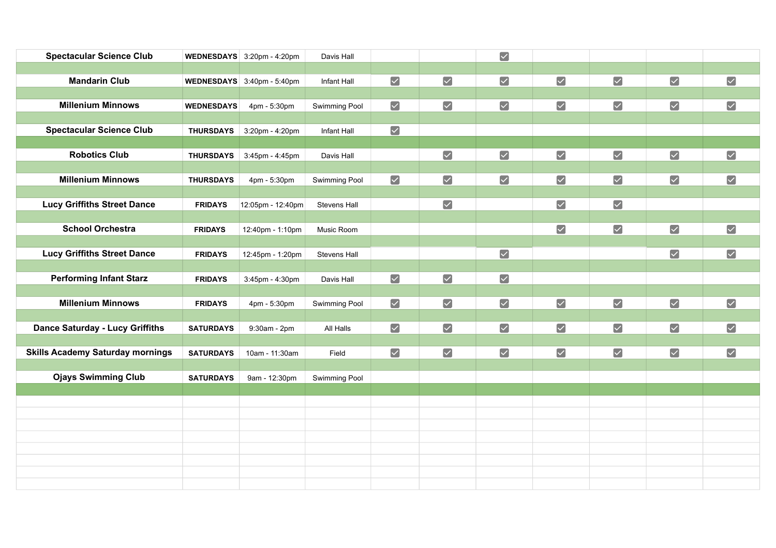| <b>Spectacular Science Club</b>         |                   | WEDNESDAYS $3:20$ pm - 4:20pm | Davis Hall    |                      |                      | $\blacktriangleright$ |                      |                       |                      |                      |
|-----------------------------------------|-------------------|-------------------------------|---------------|----------------------|----------------------|-----------------------|----------------------|-----------------------|----------------------|----------------------|
|                                         |                   |                               |               |                      |                      |                       |                      |                       |                      |                      |
| <b>Mandarin Club</b>                    |                   | WEDNESDAYS 3:40pm - 5:40pm    | Infant Hall   | $\blacktriangledown$ | $\blacktriangledown$ | $\blacktriangledown$  | $\blacktriangledown$ | $\blacktriangledown$  | $\blacktriangledown$ | $\blacktriangledown$ |
|                                         |                   |                               |               |                      |                      |                       |                      |                       |                      |                      |
| <b>Millenium Minnows</b>                | <b>WEDNESDAYS</b> | 4pm - 5:30pm                  | Swimming Pool | $\blacktriangledown$ | $\blacktriangledown$ | $\boxed{\checkmark}$  | $\blacktriangledown$ | $\blacktriangledown$  | $\blacktriangledown$ | $\blacktriangledown$ |
|                                         |                   |                               |               |                      |                      |                       |                      |                       |                      |                      |
| <b>Spectacular Science Club</b>         | <b>THURSDAYS</b>  | 3:20pm - 4:20pm               | Infant Hall   | $\boxed{\checkmark}$ |                      |                       |                      |                       |                      |                      |
|                                         |                   |                               |               |                      |                      |                       |                      |                       |                      |                      |
| <b>Robotics Club</b>                    | <b>THURSDAYS</b>  | 3:45pm - 4:45pm               | Davis Hall    |                      | $\blacktriangledown$ | $\blacktriangledown$  | $\blacktriangledown$ | $\blacktriangleright$ | $\blacktriangledown$ | $\blacktriangledown$ |
|                                         |                   |                               |               |                      |                      |                       |                      |                       |                      |                      |
| <b>Millenium Minnows</b>                | <b>THURSDAYS</b>  | 4pm - 5:30pm                  | Swimming Pool | $\blacktriangledown$ | $\blacktriangledown$ | $\blacktriangledown$  | $\blacktriangledown$ | $\blacktriangledown$  | $\blacktriangledown$ | $\blacktriangledown$ |
|                                         |                   |                               |               |                      |                      |                       |                      |                       |                      |                      |
| <b>Lucy Griffiths Street Dance</b>      | <b>FRIDAYS</b>    | 12:05pm - 12:40pm             | Stevens Hall  |                      | $\blacktriangledown$ |                       | $\blacktriangledown$ | $\blacktriangledown$  |                      |                      |
|                                         |                   |                               |               |                      |                      |                       |                      |                       |                      |                      |
| <b>School Orchestra</b>                 | <b>FRIDAYS</b>    | 12:40pm - 1:10pm              | Music Room    |                      |                      |                       | $\blacktriangledown$ | $\blacktriangledown$  | $\blacktriangledown$ | $\blacktriangledown$ |
|                                         |                   |                               |               |                      |                      |                       |                      |                       |                      |                      |
| <b>Lucy Griffiths Street Dance</b>      | <b>FRIDAYS</b>    | 12:45pm - 1:20pm              | Stevens Hall  |                      |                      | $\blacktriangledown$  |                      |                       | $\blacktriangledown$ | $\blacktriangledown$ |
|                                         |                   |                               |               |                      |                      |                       |                      |                       |                      |                      |
| <b>Performing Infant Starz</b>          | <b>FRIDAYS</b>    | 3:45pm - 4:30pm               | Davis Hall    | $\blacktriangledown$ | $\boxed{\checkmark}$ | $\blacktriangledown$  |                      |                       |                      |                      |
|                                         |                   |                               |               |                      |                      |                       |                      |                       |                      |                      |
| <b>Millenium Minnows</b>                | <b>FRIDAYS</b>    | 4pm - 5:30pm                  | Swimming Pool | $\blacktriangledown$ | $\blacktriangledown$ | $\boxed{\checkmark}$  | $\blacktriangledown$ | $\blacktriangledown$  | $\blacktriangledown$ | $\blacktriangledown$ |
|                                         |                   |                               |               |                      |                      |                       |                      |                       |                      |                      |
| <b>Dance Saturday - Lucy Griffiths</b>  | <b>SATURDAYS</b>  | 9:30am - 2pm                  | All Halls     | $\blacktriangledown$ | $\blacktriangledown$ | $\blacktriangledown$  | $\blacktriangledown$ | $\blacktriangledown$  | $\blacktriangledown$ | $\blacktriangledown$ |
|                                         |                   |                               |               |                      |                      |                       |                      |                       |                      |                      |
| <b>Skills Academy Saturday mornings</b> | <b>SATURDAYS</b>  | 10am - 11:30am                | Field         | $\blacktriangledown$ | $\boxed{\checkmark}$ | $\blacktriangleright$ | $\blacktriangledown$ | $\blacktriangledown$  | $\blacktriangledown$ | $\blacktriangledown$ |
| <b>Ojays Swimming Club</b>              |                   |                               |               |                      |                      |                       |                      |                       |                      |                      |
|                                         | <b>SATURDAYS</b>  | 9am - 12:30pm                 | Swimming Pool |                      |                      |                       |                      |                       |                      |                      |
|                                         |                   |                               |               |                      |                      |                       |                      |                       |                      |                      |
|                                         |                   |                               |               |                      |                      |                       |                      |                       |                      |                      |
|                                         |                   |                               |               |                      |                      |                       |                      |                       |                      |                      |
|                                         |                   |                               |               |                      |                      |                       |                      |                       |                      |                      |
|                                         |                   |                               |               |                      |                      |                       |                      |                       |                      |                      |
|                                         |                   |                               |               |                      |                      |                       |                      |                       |                      |                      |
|                                         |                   |                               |               |                      |                      |                       |                      |                       |                      |                      |
|                                         |                   |                               |               |                      |                      |                       |                      |                       |                      |                      |